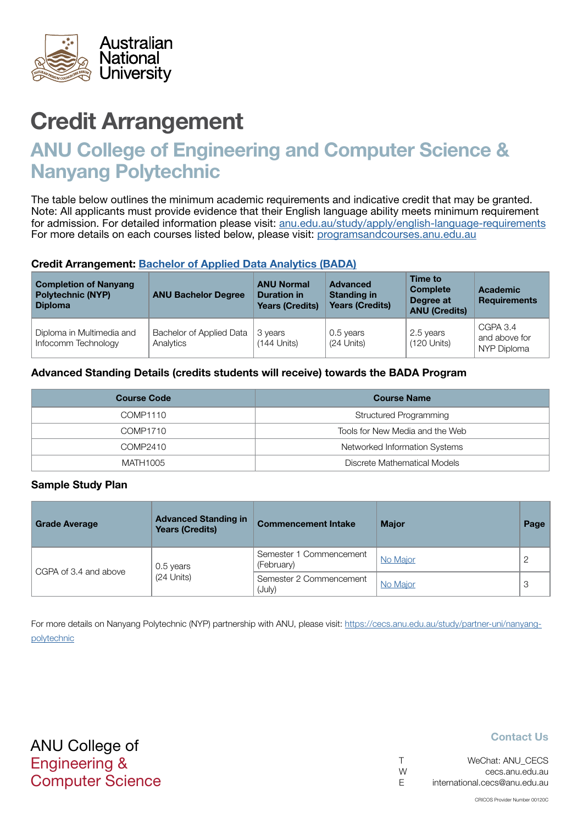

# Credit Arrangement

# ANU College of Engineering and Computer Science & Nanyang Polytechnic

The table below outlines the minimum academic requirements and indicative credit that may be granted. Note: All applicants must provide evidence that their English language ability meets minimum requirement for admission. For detailed information please visit: [anu.edu.au/study/apply/english-language-requirements](http://anu.edu.au/study/apply/english-language-requirements) For more details on each courses listed below, please visit: [programsandcourses.anu.edu.au](http://programsandcourses.anu.edu.au/program/BIT)

#### Credit Arrangement: [Bachelor of Applied Data Analytics](http://programsandcourses.anu.edu.au/program/BADAN) (BADA)

| <b>Completion of Nanyang</b><br><b>Polytechnic (NYP)</b><br><b>Diploma</b> | <b>ANU Bachelor Degree</b>            | <b>ANU Normal</b><br><b>Duration in</b><br><b>Years (Credits)</b> | <b>Advanced</b><br><b>Standing in</b><br><b>Years (Credits)</b> | Time to<br><b>Complete</b><br>Degree at<br><b>ANU (Credits)</b> | <b>Academic</b><br><b>Requirements</b>   |
|----------------------------------------------------------------------------|---------------------------------------|-------------------------------------------------------------------|-----------------------------------------------------------------|-----------------------------------------------------------------|------------------------------------------|
| Diploma in Multimedia and<br>Infocomm Technology                           | Bachelor of Applied Data<br>Analytics | 3 years<br>$(144$ Units)                                          | 0.5 years<br>(24 Units)                                         | 2.5 years<br>$(120$ Units)                                      | CGPA 3.4<br>and above for<br>NYP Diploma |

#### Advanced Standing Details (credits students will receive) towards the BADA Program

| <b>Course Code</b> | <b>Course Name</b>              |
|--------------------|---------------------------------|
| COMP1110           | Structured Programming          |
| COMP1710           | Tools for New Media and the Web |
| COMP2410           | Networked Information Systems   |
| MATH1005           | Discrete Mathematical Models    |

#### Sample Study Plan

| <b>Grade Average</b>  | <b>Advanced Standing in</b><br><b>Years (Credits)</b> | <b>Commencement Intake</b>            | <b>Major</b> | Page |
|-----------------------|-------------------------------------------------------|---------------------------------------|--------------|------|
|                       | 0.5 years                                             | Semester 1 Commencement<br>(February) | No Major     |      |
| CGPA of 3.4 and above | $(24$ Units)                                          | Semester 2 Commencement<br>(July)     | No Major     | 3    |

For more details on Nanyang Polytechnic (NYP) partnership with ANU, please visit: https://cecs.anu.edu.au/study/partner-uni/nanyangpolytechnic

## Contact Us

| $\top$ | WeChat: ANU CECS              |
|--------|-------------------------------|
| W      | cecs.anu.edu.au               |
| E      | international.cecs@anu.edu.au |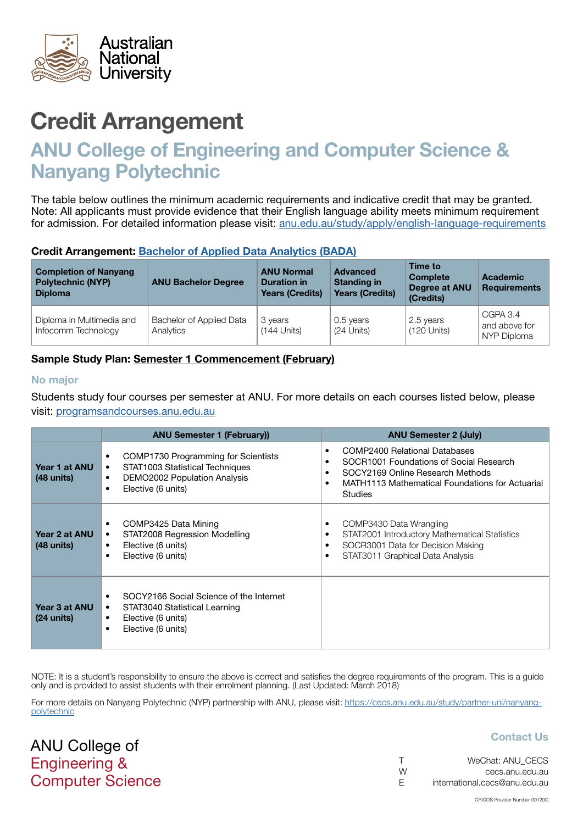<span id="page-1-0"></span>

# Credit Arrangement

# ANU College of Engineering and Computer Science & Nanyang Polytechnic

The table below outlines the minimum academic requirements and indicative credit that may be granted. Note: All applicants must provide evidence that their English language ability meets minimum requirement for admission. For detailed information please visit: [anu.edu.au/study/apply/english-language-requirements](http://anu.edu.au/study/apply/english-language-requirements)

#### Credit Arrangement: [Bachelor of Applied Data Analytics](http://programsandcourses.anu.edu.au/program/BADAN) (BADA)

| <b>Completion of Nanyang</b><br><b>Polytechnic (NYP)</b><br><b>Diploma</b> | <b>ANU Bachelor Degree</b>            | <b>ANU Normal</b><br><b>Duration in</b><br><b>Years (Credits)</b> | <b>Advanced</b><br><b>Standing in</b><br><b>Years (Credits)</b> | Time to<br><b>Complete</b><br>Degree at ANU<br>(Credits) | <b>Academic</b><br><b>Requirements</b>   |
|----------------------------------------------------------------------------|---------------------------------------|-------------------------------------------------------------------|-----------------------------------------------------------------|----------------------------------------------------------|------------------------------------------|
| Diploma in Multimedia and<br>Infocomm Technology                           | Bachelor of Applied Data<br>Analytics | 3 years<br>$(144$ Units)                                          | 0.5 years<br>(24 Units)                                         | 2.5 years<br>$(120$ Units)                               | CGPA 3.4<br>and above for<br>NYP Diploma |

## Sample Study Plan: Semester 1 Commencement (February)

#### No major

ANU College of Engineering &

Computer Science

Students study four courses per semester at ANU. For more details on each courses listed below, please visit: [programsandcourses.anu.edu.au](http://programsandcourses.anu.edu.au/program/BIT)

|                                       | <b>ANU Semester 1 (February))</b>                                                                                                                                       | <b>ANU Semester 2 (July)</b>                                                                                                                                                             |
|---------------------------------------|-------------------------------------------------------------------------------------------------------------------------------------------------------------------------|------------------------------------------------------------------------------------------------------------------------------------------------------------------------------------------|
| Year 1 at ANU<br>$(48 \text{ units})$ | COMP1730 Programming for Scientists<br>٠<br>STAT1003 Statistical Techniques<br>٠<br><b>DEMO2002 Population Analysis</b><br>$\bullet$<br>Elective (6 units)<br>$\bullet$ | <b>COMP2400 Relational Databases</b><br>SOCR1001 Foundations of Social Research<br>SOCY2169 Online Research Methods<br>MATH1113 Mathematical Foundations for Actuarial<br><b>Studies</b> |
| Year 2 at ANU<br>$(48 \text{ units})$ | COMP3425 Data Mining<br>٠<br>STAT2008 Regression Modelling<br>٠<br>Elective (6 units)<br>٠<br>Elective (6 units)<br>$\bullet$                                           | COMP3430 Data Wrangling<br>٠<br>STAT2001 Introductory Mathematical Statistics<br>SOCR3001 Data for Decision Making<br>٠<br>STAT3011 Graphical Data Analysis                              |
| Year 3 at ANU<br>$(24 \text{ units})$ | SOCY2166 Social Science of the Internet<br>STAT3040 Statistical Learning<br>$\bullet$<br>Elective (6 units)<br>٠<br>Elective (6 units)<br>٠                             |                                                                                                                                                                                          |

NOTE: It is a student's responsibility to ensure the above is correct and satisfies the degree requirements of the program. This is a quide only and is provided to assist students with their enrolment planning. (Last Updated: March 2018)

For more details on Nanyang Polytechnic (NYP) partnership with ANU, please visit: https://cecs.anu.edu.au/study/partner-uni/nanyangpolytechnic

## Contact Us

|   | WeChat: ANU CECS              |
|---|-------------------------------|
| W | cecs.anu.edu.au               |
| E | international.cecs@anu.edu.au |